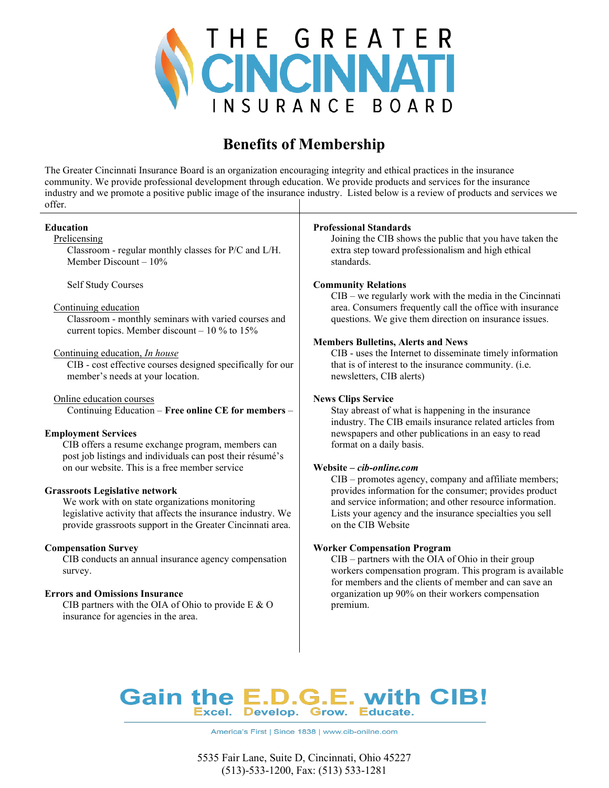

## Benefits of Membership

The Greater Cincinnati Insurance Board is an organization encouraging integrity and ethical practices in the insurance community. We provide professional development through education. We provide products and services for the insurance industry and we promote a positive public image of the insurance industry. Listed below is a review of products and services we offer.

| Education<br>Prelicensing<br>Classroom - regular monthly classes for P/C and L/H.<br>Member Discount $-10\%$                                                                                                                                                                                                                                                                                                                                                                                              | <b>Professional Standards</b><br>Joining the CIB shows the public that you have taken the<br>extra step toward professionalism and high ethical<br>standards.                                                                                                                                                                                                                                                                                                                                                                 |  |  |  |  |
|-----------------------------------------------------------------------------------------------------------------------------------------------------------------------------------------------------------------------------------------------------------------------------------------------------------------------------------------------------------------------------------------------------------------------------------------------------------------------------------------------------------|-------------------------------------------------------------------------------------------------------------------------------------------------------------------------------------------------------------------------------------------------------------------------------------------------------------------------------------------------------------------------------------------------------------------------------------------------------------------------------------------------------------------------------|--|--|--|--|
| Self Study Courses<br>Continuing education<br>Classroom - monthly seminars with varied courses and<br>current topics. Member discount $-10$ % to 15%<br>Continuing education, In house<br>CIB - cost effective courses designed specifically for our<br>member's needs at your location.                                                                                                                                                                                                                  | <b>Community Relations</b><br>$CIB$ – we regularly work with the media in the Cincinnati<br>area. Consumers frequently call the office with insurance<br>questions. We give them direction on insurance issues.<br><b>Members Bulletins, Alerts and News</b><br>CIB - uses the Internet to disseminate timely information<br>that is of interest to the insurance community. (i.e.<br>newsletters, CIB alerts)                                                                                                                |  |  |  |  |
| Online education courses<br>Continuing Education - Free online CE for members -<br><b>Employment Services</b><br>CIB offers a resume exchange program, members can<br>post job listings and individuals can post their résumé's<br>on our website. This is a free member service<br><b>Grassroots Legislative network</b><br>We work with on state organizations monitoring<br>legislative activity that affects the insurance industry. We<br>provide grassroots support in the Greater Cincinnati area. | <b>News Clips Service</b><br>Stay abreast of what is happening in the insurance<br>industry. The CIB emails insurance related articles from<br>newspapers and other publications in an easy to read<br>format on a daily basis.<br>Website - cib-online.com<br>CIB - promotes agency, company and affiliate members;<br>provides information for the consumer; provides product<br>and service information; and other resource information.<br>Lists your agency and the insurance specialties you sell<br>on the CIB Website |  |  |  |  |
| <b>Compensation Survey</b><br>CIB conducts an annual insurance agency compensation<br>survey.<br><b>Errors and Omissions Insurance</b><br>CIB partners with the OIA of Ohio to provide E & O<br>insurance for agencies in the area.                                                                                                                                                                                                                                                                       | <b>Worker Compensation Program</b><br>CIB - partners with the OIA of Ohio in their group<br>workers compensation program. This program is available<br>for members and the clients of member and can save an<br>organization up 90% on their workers compensation<br>premium.                                                                                                                                                                                                                                                 |  |  |  |  |
| Gain the E.D.G.E. with CIB!                                                                                                                                                                                                                                                                                                                                                                                                                                                                               |                                                                                                                                                                                                                                                                                                                                                                                                                                                                                                                               |  |  |  |  |

America's First | Since 1838 | www.cib-onilne.com

Educate.

Develop. Grow.

Excel.

5535 Fair Lane, Suite D, Cincinnati, Ohio 45227 (513)-533-1200, Fax: (513) 533-1281